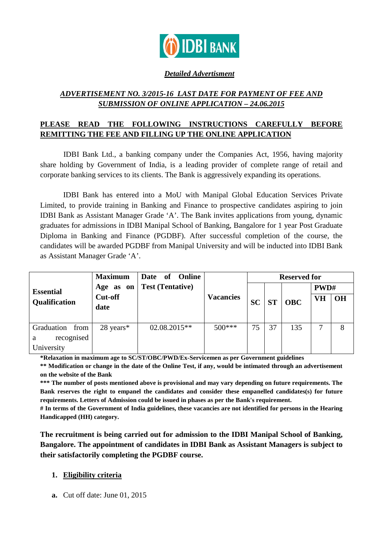

## *Detailed Advertisment*

# *ADVERTISEMENT NO. 3/2015-16 LAST DATE FOR PAYMENT OF FEE AND SUBMISSION OF ONLINE APPLICATION – 24.06.2015*

# **PLEASE READ THE FOLLOWING INSTRUCTIONS CAREFULLY BEFORE REMITTING THE FEE AND FILLING UP THE ONLINE APPLICATION**

IDBI Bank Ltd., a banking company under the Companies Act, 1956, having majority share holding by Government of India, is a leading provider of complete range of retail and corporate banking services to its clients. The Bank is aggressively expanding its operations.

 IDBI Bank has entered into a MoU with Manipal Global Education Services Private Limited, to provide training in Banking and Finance to prospective candidates aspiring to join IDBI Bank as Assistant Manager Grade 'A'. The Bank invites applications from young, dynamic graduates for admissions in IDBI Manipal School of Banking, Bangalore for 1 year Post Graduate Diploma in Banking and Finance (PGDBF). After successful completion of the course, the candidates will be awarded PGDBF from Manipal University and will be inducted into IDBI Bank as Assistant Manager Grade 'A'.

|                                                     | <b>Maximum</b>         | Date of Online          |                  | <b>Reserved for</b> |           |            |           |           |
|-----------------------------------------------------|------------------------|-------------------------|------------------|---------------------|-----------|------------|-----------|-----------|
| <b>Essential</b>                                    | Age as on              | <b>Test (Tentative)</b> | <b>Vacancies</b> | <b>SC</b>           | <b>ST</b> | <b>OBC</b> | PWD#      |           |
| Qualification                                       | <b>Cut-off</b><br>date |                         |                  |                     |           |            | <b>VH</b> | <b>OH</b> |
| Graduation<br>from<br>recognised<br>a<br>University | $28 \text{ years}^*$   | 02.08.2015**            | $500***$         | 75                  | 37        | 135        |           | 8         |

**\*Relaxation in maximum age to SC/ST/OBC/PWD/Ex-Servicemen as per Government guidelines** 

**\*\* Modification or change in the date of the Online Test, if any, would be intimated through an advertisement on the website of the Bank**

**\*\*\* The number of posts mentioned above is provisional and may vary depending on future requirements. The Bank reserves the right to empanel the candidates and consider these empanelled candidates(s) for future requirements. Letters of Admission could be issued in phases as per the Bank's requirement.** 

**# In terms of the Government of India guidelines, these vacancies are not identified for persons in the Hearing Handicapped (HH) category.** 

**The recruitment is being carried out for admission to the IDBI Manipal School of Banking, Bangalore. The appointment of candidates in IDBI Bank as Assistant Managers is subject to their satisfactorily completing the PGDBF course.**

## **1. Eligibility criteria**

**a.** Cut off date: June 01, 2015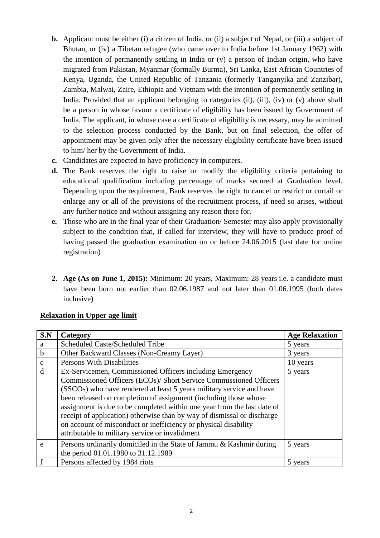- **b.** Applicant must be either (i) a citizen of India, or (ii) a subject of Nepal, or (iii) a subject of Bhutan, or (iv) a Tibetan refugee (who came over to India before 1st January 1962) with the intention of permanently settling in India or (v) a person of Indian origin, who have migrated from Pakistan, Myanmar (formally Burma), Sri Lanka, East African Countries of Kenya, Uganda, the United Republic of Tanzania (formerly Tanganyika and Zanzibar), Zambia, Malwai, Zaire, Ethiopia and Vietnam with the intention of permanently settling in India. Provided that an applicant belonging to categories (ii), (iii), (iv) or (v) above shall be a person in whose favour a certificate of eligibility has been issued by Government of India. The applicant, in whose case a certificate of eligibility is necessary, may be admitted to the selection process conducted by the Bank, but on final selection, the offer of appointment may be given only after the necessary eligibility certificate have been issued to him/ her by the Government of India.
- **c.** Candidates are expected to have proficiency in computers.
- **d.** The Bank reserves the right to raise or modify the eligibility criteria pertaining to educational qualification including percentage of marks secured at Graduation level. Depending upon the requirement, Bank reserves the right to cancel or restrict or curtail or enlarge any or all of the provisions of the recruitment process, if need so arises, without any further notice and without assigning any reason there for.
- **e.** Those who are in the final year of their Graduation/ Semester may also apply provisionally subject to the condition that, if called for interview, they will have to produce proof of having passed the graduation examination on or before 24.06.2015 (last date for online registration)
- **2. Age (As on June 1, 2015):** Minimum: 20 years, Maximum: 28 years i.e. a candidate must have been born not earlier than 02.06.1987 and not later than 01.06.1995 (both dates inclusive)

| S.N          | Category                                                                                                                                                                                                                                                                                                                                                                                                                                                                                                                                              | <b>Age Relaxation</b> |
|--------------|-------------------------------------------------------------------------------------------------------------------------------------------------------------------------------------------------------------------------------------------------------------------------------------------------------------------------------------------------------------------------------------------------------------------------------------------------------------------------------------------------------------------------------------------------------|-----------------------|
| a            | Scheduled Caste/Scheduled Tribe                                                                                                                                                                                                                                                                                                                                                                                                                                                                                                                       | 5 years               |
| $\mathbf b$  | Other Backward Classes (Non-Creamy Layer)                                                                                                                                                                                                                                                                                                                                                                                                                                                                                                             | 3 years               |
| $\mathbf{C}$ | Persons With Disabilities                                                                                                                                                                                                                                                                                                                                                                                                                                                                                                                             | 10 years              |
| d            | Ex-Servicemen, Commissioned Officers including Emergency<br>Commissioned Officers (ECOs)/ Short Service Commissioned Officers<br>(SSCOs) who have rendered at least 5 years military service and have<br>been released on completion of assignment (including those whose<br>assignment is due to be completed within one year from the last date of<br>receipt of application) otherwise than by way of dismissal or discharge<br>on account of misconduct or inefficiency or physical disability<br>attributable to military service or invalidment | 5 years               |
| e            | Persons ordinarily domiciled in the State of Jammu & Kashmir during<br>the period 01.01.1980 to 31.12.1989                                                                                                                                                                                                                                                                                                                                                                                                                                            | 5 years               |
|              | Persons affected by 1984 riots                                                                                                                                                                                                                                                                                                                                                                                                                                                                                                                        | 5 years               |

## **Relaxation in Upper age limit**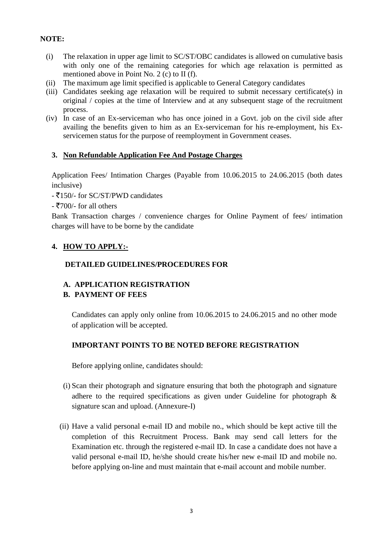## **NOTE:**

- (i) The relaxation in upper age limit to SC/ST/OBC candidates is allowed on cumulative basis with only one of the remaining categories for which age relaxation is permitted as mentioned above in Point No. 2 (c) to II (f).
- (ii) The maximum age limit specified is applicable to General Category candidates
- (iii) Candidates seeking age relaxation will be required to submit necessary certificate(s) in original / copies at the time of Interview and at any subsequent stage of the recruitment process.
- (iv) In case of an Ex-serviceman who has once joined in a Govt. job on the civil side after availing the benefits given to him as an Ex-serviceman for his re-employment, his Exservicemen status for the purpose of reemployment in Government ceases.

## **3. Non Refundable Application Fee And Postage Charges**

Application Fees/ Intimation Charges (Payable from 10.06.2015 to 24.06.2015 (both dates inclusive)

- ₹150/- for SC/ST/PWD candidates
- $\overline{5700}$ /- for all others

Bank Transaction charges / convenience charges for Online Payment of fees/ intimation charges will have to be borne by the candidate

## **4. HOW TO APPLY:-**

## **DETAILED GUIDELINES/PROCEDURES FOR**

## **A. APPLICATION REGISTRATION**

## **B. PAYMENT OF FEES**

Candidates can apply only online from 10.06.2015 to 24.06.2015 and no other mode of application will be accepted.

## **IMPORTANT POINTS TO BE NOTED BEFORE REGISTRATION**

Before applying online, candidates should:

- (i) Scan their photograph and signature ensuring that both the photograph and signature adhere to the required specifications as given under Guideline for photograph & signature scan and upload. (Annexure-I)
- (ii) Have a valid personal e-mail ID and mobile no., which should be kept active till the completion of this Recruitment Process. Bank may send call letters for the Examination etc. through the registered e-mail ID. In case a candidate does not have a valid personal e-mail ID, he/she should create his/her new e-mail ID and mobile no. before applying on-line and must maintain that e-mail account and mobile number.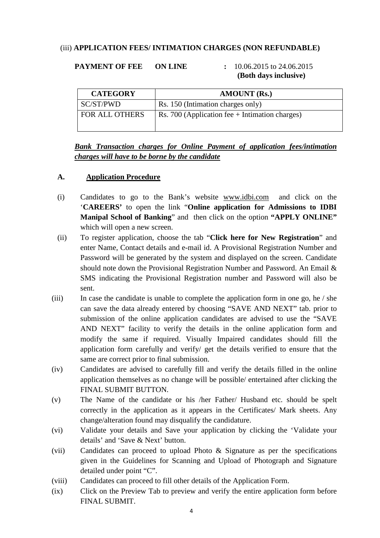## (iii) **APPLICATION FEES/ INTIMATION CHARGES (NON REFUNDABLE)**

## **PAYMENT OF FEE ON LINE :** 10.06.2015 to 24.06.2015

# **(Both days inclusive)**

| <b>CATEGORY</b>       | <b>AMOUNT</b> (Rs.)                              |  |  |
|-----------------------|--------------------------------------------------|--|--|
| SC/ST/PWD             | Rs. 150 (Intimation charges only)                |  |  |
| <b>FOR ALL OTHERS</b> | Rs. 700 (Application fee $+$ Intimation charges) |  |  |

## *Bank Transaction charges for Online Payment of application fees/intimation charges will have to be borne by the candidate*

## **A. Application Procedure**

- (i) Candidates to go to the Bank's website [www.idbi.com](http://www.idbi.com/) and click on the '**CAREERS'** to open the link "**Online application for Admissions to IDBI Manipal School of Banking**" and then click on the option **"APPLY ONLINE"**  which will open a new screen.
- (ii) To register application, choose the tab "**Click here for New Registration**" and enter Name, Contact details and e-mail id. A Provisional Registration Number and Password will be generated by the system and displayed on the screen. Candidate should note down the Provisional Registration Number and Password. An Email & SMS indicating the Provisional Registration number and Password will also be sent.
- (iii) In case the candidate is unable to complete the application form in one go, he / she can save the data already entered by choosing "SAVE AND NEXT" tab. prior to submission of the online application candidates are advised to use the "SAVE AND NEXT" facility to verify the details in the online application form and modify the same if required. Visually Impaired candidates should fill the application form carefully and verify/ get the details verified to ensure that the same are correct prior to final submission.
- (iv) Candidates are advised to carefully fill and verify the details filled in the online application themselves as no change will be possible/ entertained after clicking the FINAL SUBMIT BUTTON.
- (v) The Name of the candidate or his /her Father/ Husband etc. should be spelt correctly in the application as it appears in the Certificates/ Mark sheets. Any change/alteration found may disqualify the candidature.
- (vi) Validate your details and Save your application by clicking the 'Validate your details' and 'Save & Next' button.
- (vii) Candidates can proceed to upload Photo & Signature as per the specifications given in the Guidelines for Scanning and Upload of Photograph and Signature detailed under point "C".
- (viii) Candidates can proceed to fill other details of the Application Form.
- (ix) Click on the Preview Tab to preview and verify the entire application form before FINAL SUBMIT.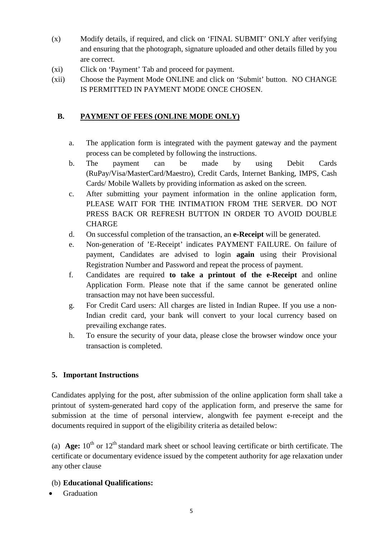- (x) Modify details, if required, and click on 'FINAL SUBMIT' ONLY after verifying and ensuring that the photograph, signature uploaded and other details filled by you are correct.
- (xi) Click on 'Payment' Tab and proceed for payment.
- (xii) Choose the Payment Mode ONLINE and click on 'Submit' button. NO CHANGE IS PERMITTED IN PAYMENT MODE ONCE CHOSEN.

# **B. PAYMENT OF FEES (ONLINE MODE ONLY)**

- a. The application form is integrated with the payment gateway and the payment process can be completed by following the instructions.
- b. The payment can be made by using Debit Cards (RuPay/Visa/MasterCard/Maestro), Credit Cards, Internet Banking, IMPS, Cash Cards/ Mobile Wallets by providing information as asked on the screen.
- c. After submitting your payment information in the online application form, PLEASE WAIT FOR THE INTIMATION FROM THE SERVER. DO NOT PRESS BACK OR REFRESH BUTTON IN ORDER TO AVOID DOUBLE CHARGE
- d. On successful completion of the transaction, an **e-Receipt** will be generated.
- e. Non-generation of 'E-Receipt' indicates PAYMENT FAILURE. On failure of payment, Candidates are advised to login **again** using their Provisional Registration Number and Password and repeat the process of payment.
- f. Candidates are required **to take a printout of the e-Receipt** and online Application Form. Please note that if the same cannot be generated online transaction may not have been successful.
- g. For Credit Card users: All charges are listed in Indian Rupee. If you use a non-Indian credit card, your bank will convert to your local currency based on prevailing exchange rates.
- h. To ensure the security of your data, please close the browser window once your transaction is completed.

# **5. Important Instructions**

Candidates applying for the post, after submission of the online application form shall take a printout of system-generated hard copy of the application form, and preserve the same for submission at the time of personal interview, alongwith fee payment e-receipt and the documents required in support of the eligibility criteria as detailed below:

(a) **Age:**  $10^{th}$  or  $12^{th}$  standard mark sheet or school leaving certificate or birth certificate. The certificate or documentary evidence issued by the competent authority for age relaxation under any other clause

# (b) **Educational Qualifications:**

**Graduation**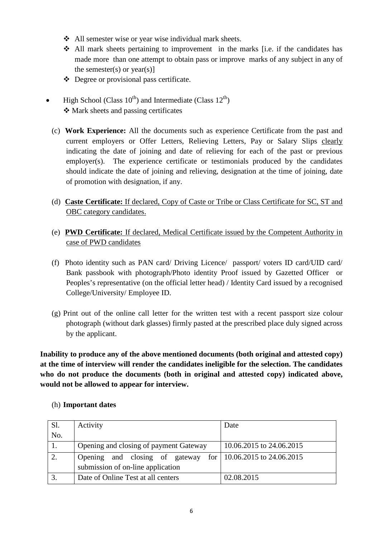- All semester wise or year wise individual mark sheets.
- All mark sheets pertaining to improvement in the marks [i.e. if the candidates has made more than one attempt to obtain pass or improve marks of any subject in any of the semester(s) or year(s)]
- Degree or provisional pass certificate.
- High School (Class  $10^{th}$ ) and Intermediate (Class  $12^{th}$ )  $\triangleleft$  Mark sheets and passing certificates
	- (c) **Work Experience:** All the documents such as experience Certificate from the past and current employers or Offer Letters, Relieving Letters, Pay or Salary Slips clearly indicating the date of joining and date of relieving for each of the past or previous employer(s). The experience certificate or testimonials produced by the candidates should indicate the date of joining and relieving, designation at the time of joining, date of promotion with designation, if any.
	- (d) **Caste Certificate:** If declared, Copy of Caste or Tribe or Class Certificate for SC, ST and OBC category candidates.
	- (e) **PWD Certificate:** If declared, Medical Certificate issued by the Competent Authority in case of PWD candidates
	- (f) Photo identity such as PAN card/ Driving Licence/ passport/ voters ID card/UID card/ Bank passbook with photograph/Photo identity Proof issued by Gazetted Officer or Peoples's representative (on the official letter head) / Identity Card issued by a recognised College/University/ Employee ID.
	- (g) Print out of the online call letter for the written test with a recent passport size colour photograph (without dark glasses) firmly pasted at the prescribed place duly signed across by the applicant.

**Inability to produce any of the above mentioned documents (both original and attested copy) at the time of interview will render the candidates ineligible for the selection. The candidates who do not produce the documents (both in original and attested copy) indicated above, would not be allowed to appear for interview.** 

| Sl. | Activity                                                      | Date                     |
|-----|---------------------------------------------------------------|--------------------------|
| No. |                                                               |                          |
|     | Opening and closing of payment Gateway                        | 10.06.2015 to 24.06.2015 |
| 2.  | Opening and closing of gateway for   10.06.2015 to 24.06.2015 |                          |
|     | submission of on-line application                             |                          |
| 3.  | Date of Online Test at all centers                            | 02.08.2015               |

## (h) **Important dates**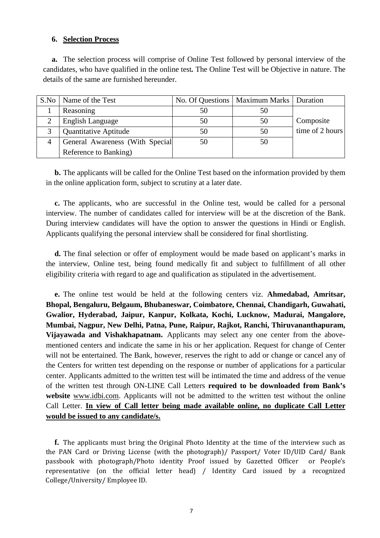#### **6. Selection Process**

**a.** The selection process will comprise of Online Test followed by personal interview of the candidates, who have qualified in the online test*.* The Online Test will be Objective in nature. The details of the same are furnished hereunder.

| S.No | Name of the Test                |    | No. Of Questions   Maximum Marks   Duration |                 |
|------|---------------------------------|----|---------------------------------------------|-----------------|
|      | Reasoning                       | 50 |                                             |                 |
|      | <b>English Language</b>         | 50 | 50                                          | Composite       |
|      | <b>Quantitative Aptitude</b>    | 50 | 50                                          | time of 2 hours |
|      | General Awareness (With Special | 50 | 50                                          |                 |
|      | Reference to Banking)           |    |                                             |                 |

**b.** The applicants will be called for the Online Test based on the information provided by them in the online application form, subject to scrutiny at a later date.

**c.** The applicants, who are successful in the Online test, would be called for a personal interview. The number of candidates called for interview will be at the discretion of the Bank. During interview candidates will have the option to answer the questions in Hindi or English. Applicants qualifying the personal interview shall be considered for final shortlisting.

**d.** The final selection or offer of employment would be made based on applicant's marks in the interview, Online test, being found medically fit and subject to fulfillment of all other eligibility criteria with regard to age and qualification as stipulated in the advertisement.

**e.** The online test would be held at the following centers viz. **Ahmedabad, Amritsar, Bhopal, Bengaluru, Belgaum, Bhubaneswar, Coimbatore, Chennai, Chandigarh, Guwahati, Gwalior, Hyderabad, Jaipur, Kanpur, Kolkata, Kochi, Lucknow, Madurai, Mangalore, Mumbai, Nagpur, New Delhi, Patna, Pune, Raipur, Rajkot, Ranchi, Thiruvananthapuram, Vijayawada and Vishakhapatnam.** Applicants may select any one center from the abovementioned centers and indicate the same in his or her application. Request for change of Center will not be entertained. The Bank, however, reserves the right to add or change or cancel any of the Centers for written test depending on the response or number of applications for a particular center. Applicants admitted to the written test will be intimated the time and address of the venue of the written test through ON-LINE Call Letters **required to be downloaded from Bank's website** [www.idbi.com.](http://www.idbi.com/) Applicants will not be admitted to the written test without the online Call Letter. **In view of Call letter being made available online, no duplicate Call Letter would be issued to any candidate/s.** 

**f.** The applicants must bring the Original Photo Identity at the time of the interview such as the PAN Card or Driving License (with the photograph)/ Passport/ Voter ID/UID Card/ Bank passbook with photograph/Photo identity Proof issued by Gazetted Officer or People's representative (on the official letter head) / Identity Card issued by a recognized College/University/ Employee ID.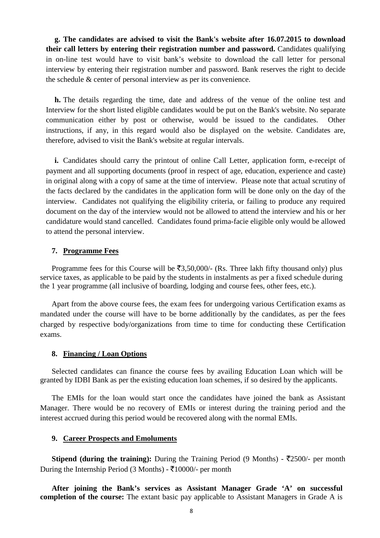**g. The candidates are advised to visit the Bank's website after 16.07.2015 to download their call letters by entering their registration number and password.** Candidates qualifying in on-line test would have to visit bank's website to download the call letter for personal interview by entering their registration number and password. Bank reserves the right to decide the schedule & center of personal interview as per its convenience.

**h.** The details regarding the time, date and address of the venue of the online test and Interview for the short listed eligible candidates would be put on the Bank's website. No separate communication either by post or otherwise, would be issued to the candidates. Other instructions, if any, in this regard would also be displayed on the website. Candidates are, therefore, advised to visit the Bank's website at regular intervals.

**i.** Candidates should carry the printout of online Call Letter, application form, e-receipt of payment and all supporting documents (proof in respect of age, education, experience and caste) in original along with a copy of same at the time of interview. Please note that actual scrutiny of the facts declared by the candidates in the application form will be done only on the day of the interview. Candidates not qualifying the eligibility criteria, or failing to produce any required document on the day of the interview would not be allowed to attend the interview and his or her candidature would stand cancelled. Candidates found prima-facie eligible only would be allowed to attend the personal interview.

#### **7. Programme Fees**

Programme fees for this Course will be  $\bar{z}$ 3,50,000/- (Rs. Three lakh fifty thousand only) plus service taxes, as applicable to be paid by the students in instalments as per a fixed schedule during the 1 year programme (all inclusive of boarding, lodging and course fees, other fees, etc.).

Apart from the above course fees, the exam fees for undergoing various Certification exams as mandated under the course will have to be borne additionally by the candidates, as per the fees charged by respective body/organizations from time to time for conducting these Certification exams.

#### **8. Financing / Loan Options**

Selected candidates can finance the course fees by availing Education Loan which will be granted by IDBI Bank as per the existing education loan schemes, if so desired by the applicants.

The EMIs for the loan would start once the candidates have joined the bank as Assistant Manager. There would be no recovery of EMIs or interest during the training period and the interest accrued during this period would be recovered along with the normal EMIs.

#### **9. Career Prospects and Emoluments**

**Stipend (during the training):** During the Training Period (9 Months) -  $\overline{\tau}2500$ /- per month During the Internship Period (3 Months) -  $\bar{\tau}10000/$ - per month

**After joining the Bank's services as Assistant Manager Grade 'A' on successful completion of the course:** The extant basic pay applicable to Assistant Managers in Grade A is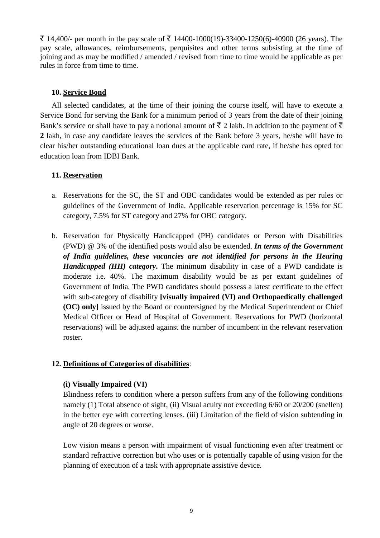₹ 14,400/- per month in the pay scale of ₹ 14400-1000(19)-33400-1250(6)-40900 (26 years). The pay scale, allowances, reimbursements, perquisites and other terms subsisting at the time of joining and as may be modified / amended / revised from time to time would be applicable as per rules in force from time to time.

## **10. Service Bond**

All selected candidates, at the time of their joining the course itself, will have to execute a Service Bond for serving the Bank for a minimum period of 3 years from the date of their joining Bank's service or shall have to pay a notional amount of  $\bar{\tau}$  2 lakh. In addition to the payment of  $\bar{\tau}$ **2** lakh, in case any candidate leaves the services of the Bank before 3 years, he/she will have to clear his/her outstanding educational loan dues at the applicable card rate, if he/she has opted for education loan from IDBI Bank.

## **11. Reservation**

- a. Reservations for the SC, the ST and OBC candidates would be extended as per rules or guidelines of the Government of India. Applicable reservation percentage is 15% for SC category, 7.5% for ST category and 27% for OBC category.
- b. Reservation for Physically Handicapped (PH) candidates or Person with Disabilities (PWD) @ 3% of the identified posts would also be extended. *In terms of the Government of India guidelines, these vacancies are not identified for persons in the Hearing Handicapped (HH) category***.** The minimum disability in case of a PWD candidate is moderate i.e. 40%. The maximum disability would be as per extant guidelines of Government of India. The PWD candidates should possess a latest certificate to the effect with sub-category of disability **[visually impaired (VI) and Orthopaedically challenged (OC) only]** issued by the Board or countersigned by the Medical Superintendent or Chief Medical Officer or Head of Hospital of Government. Reservations for PWD (horizontal reservations) will be adjusted against the number of incumbent in the relevant reservation roster.

## **12. Definitions of Categories of disabilities**:

#### **(i) Visually Impaired (VI)**

Blindness refers to condition where a person suffers from any of the following conditions namely (1) Total absence of sight, (ii) Visual acuity not exceeding 6/60 or 20/200 (snellen) in the better eye with correcting lenses. (iii) Limitation of the field of vision subtending in angle of 20 degrees or worse.

Low vision means a person with impairment of visual functioning even after treatment or standard refractive correction but who uses or is potentially capable of using vision for the planning of execution of a task with appropriate assistive device.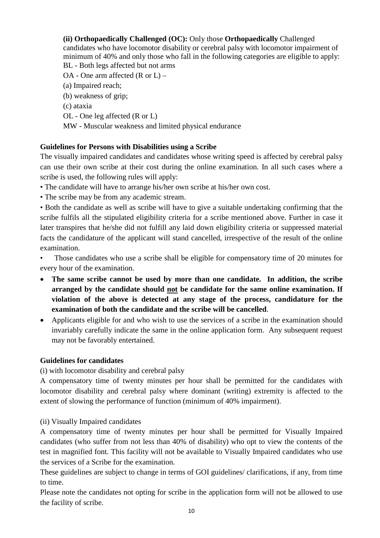## **(ii) Orthopaedically Challenged (OC):** Only those **Orthopaedically** Challenged

candidates who have locomotor disability or cerebral palsy with locomotor impairment of minimum of 40% and only those who fall in the following categories are eligible to apply: BL - Both legs affected but not arms

OA - One arm affected (R or L) – (a) Impaired reach; (b) weakness of grip; (c) ataxia OL - One leg affected (R or L) MW - Muscular weakness and limited physical endurance

## **Guidelines for Persons with Disabilities using a Scribe**

The visually impaired candidates and candidates whose writing speed is affected by cerebral palsy can use their own scribe at their cost during the online examination. In all such cases where a scribe is used, the following rules will apply:

• The candidate will have to arrange his/her own scribe at his/her own cost.

• The scribe may be from any academic stream.

• Both the candidate as well as scribe will have to give a suitable undertaking confirming that the scribe fulfils all the stipulated eligibility criteria for a scribe mentioned above. Further in case it later transpires that he/she did not fulfill any laid down eligibility criteria or suppressed material facts the candidature of the applicant will stand cancelled, irrespective of the result of the online examination.

Those candidates who use a scribe shall be eligible for compensatory time of 20 minutes for every hour of the examination.

- **The same scribe cannot be used by more than one candidate. In addition, the scribe arranged by the candidate should not be candidate for the same online examination. If violation of the above is detected at any stage of the process, candidature for the examination of both the candidate and the scribe will be cancelled**.
- Applicants eligible for and who wish to use the services of a scribe in the examination should invariably carefully indicate the same in the online application form. Any subsequent request may not be favorably entertained.

## **Guidelines for candidates**

(i) with locomotor disability and cerebral palsy

A compensatory time of twenty minutes per hour shall be permitted for the candidates with locomotor disability and cerebral palsy where dominant (writing) extremity is affected to the extent of slowing the performance of function (minimum of 40% impairment).

(ii) Visually Impaired candidates

A compensatory time of twenty minutes per hour shall be permitted for Visually Impaired candidates (who suffer from not less than 40% of disability) who opt to view the contents of the test in magnified font. This facility will not be available to Visually Impaired candidates who use the services of a Scribe for the examination.

These guidelines are subject to change in terms of GOI guidelines/ clarifications, if any, from time to time.

Please note the candidates not opting for scribe in the application form will not be allowed to use the facility of scribe.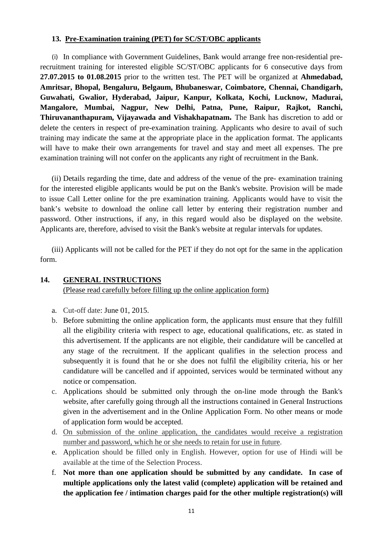## **13. Pre-Examination training (PET) for SC/ST/OBC applicants**

(i) In compliance with Government Guidelines, Bank would arrange free non-residential prerecruitment training for interested eligible SC/ST/OBC applicants for 6 consecutive days from **27.07.2015 to 01.08.2015** prior to the written test. The PET will be organized at **Ahmedabad, Amritsar, Bhopal, Bengaluru, Belgaum, Bhubaneswar, Coimbatore, Chennai, Chandigarh, Guwahati, Gwalior, Hyderabad, Jaipur, Kanpur, Kolkata, Kochi, Lucknow, Madurai, Mangalore, Mumbai, Nagpur, New Delhi, Patna, Pune, Raipur, Rajkot, Ranchi, Thiruvananthapuram, Vijayawada and Vishakhapatnam.** The Bank has discretion to add or delete the centers in respect of pre-examination training. Applicants who desire to avail of such training may indicate the same at the appropriate place in the application format. The applicants will have to make their own arrangements for travel and stay and meet all expenses. The pre examination training will not confer on the applicants any right of recruitment in the Bank.

(ii) Details regarding the time, date and address of the venue of the pre- examination training for the interested eligible applicants would be put on the Bank's website. Provision will be made to issue Call Letter online for the pre examination training. Applicants would have to visit the bank's website to download the online call letter by entering their registration number and password. Other instructions, if any, in this regard would also be displayed on the website. Applicants are, therefore, advised to visit the Bank's website at regular intervals for updates.

(iii) Applicants will not be called for the PET if they do not opt for the same in the application form.

## **14. GENERAL INSTRUCTIONS**

(Please read carefully before filling up the online application form)

- a. Cut-off date: June 01, 2015.
- b. Before submitting the online application form, the applicants must ensure that they fulfill all the eligibility criteria with respect to age, educational qualifications, etc. as stated in this advertisement. If the applicants are not eligible, their candidature will be cancelled at any stage of the recruitment. If the applicant qualifies in the selection process and subsequently it is found that he or she does not fulfil the eligibility criteria, his or her candidature will be cancelled and if appointed, services would be terminated without any notice or compensation.
- c. Applications should be submitted only through the on-line mode through the Bank's website, after carefully going through all the instructions contained in General Instructions given in the advertisement and in the Online Application Form. No other means or mode of application form would be accepted.
- d. On submission of the online application, the candidates would receive a registration number and password, which he or she needs to retain for use in future.
- e. Application should be filled only in English. However, option for use of Hindi will be available at the time of the Selection Process.
- f. **Not more than one application should be submitted by any candidate. In case of multiple applications only the latest valid (complete) application will be retained and the application fee / intimation charges paid for the other multiple registration(s) will**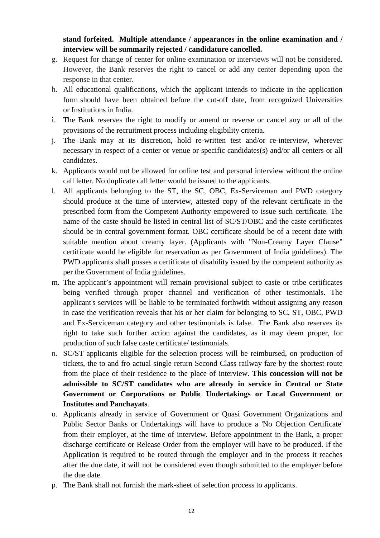# **stand forfeited. Multiple attendance / appearances in the online examination and / interview will be summarily rejected / candidature cancelled.**

- g. Request for change of center for online examination or interviews will not be considered. However, the Bank reserves the right to cancel or add any center depending upon the response in that center.
- h. All educational qualifications, which the applicant intends to indicate in the application form should have been obtained before the cut-off date, from recognized Universities or Institutions in India.
- i. The Bank reserves the right to modify or amend or reverse or cancel any or all of the provisions of the recruitment process including eligibility criteria.
- j. The Bank may at its discretion, hold re-written test and/or re-interview, wherever necessary in respect of a center or venue or specific candidates(s) and/or all centers or all candidates.
- k. Applicants would not be allowed for online test and personal interview without the online call letter. No duplicate call letter would be issued to the applicants.
- l. All applicants belonging to the ST, the SC, OBC, Ex-Serviceman and PWD category should produce at the time of interview, attested copy of the relevant certificate in the prescribed form from the Competent Authority empowered to issue such certificate. The name of the caste should be listed in central list of SC/ST/OBC and the caste certificates should be in central government format. OBC certificate should be of a recent date with suitable mention about creamy layer. (Applicants with "Non-Creamy Layer Clause" certificate would be eligible for reservation as per Government of India guidelines). The PWD applicants shall posses a certificate of disability issued by the competent authority as per the Government of India guidelines.
- m. The applicant's appointment will remain provisional subject to caste or tribe certificates being verified through proper channel and verification of other testimonials. The applicant's services will be liable to be terminated forthwith without assigning any reason in case the verification reveals that his or her claim for belonging to SC, ST, OBC, PWD and Ex-Serviceman category and other testimonials is false. The Bank also reserves its right to take such further action against the candidates, as it may deem proper, for production of such false caste certificate/ testimonials.
- n. SC/ST applicants eligible for the selection process will be reimbursed, on production of tickets, the to and fro actual single return Second Class railway fare by the shortest route from the place of their residence to the place of interview. **This concession will not be admissible to SC/ST candidates who are already in service in Central or State Government or Corporations or Public Undertakings or Local Government or Institutes and Panchayats**.
- o. Applicants already in service of Government or Quasi Government Organizations and Public Sector Banks or Undertakings will have to produce a 'No Objection Certificate' from their employer, at the time of interview. Before appointment in the Bank, a proper discharge certificate or Release Order from the employer will have to be produced. If the Application is required to be routed through the employer and in the process it reaches after the due date, it will not be considered even though submitted to the employer before the due date.
- p. The Bank shall not furnish the mark-sheet of selection process to applicants.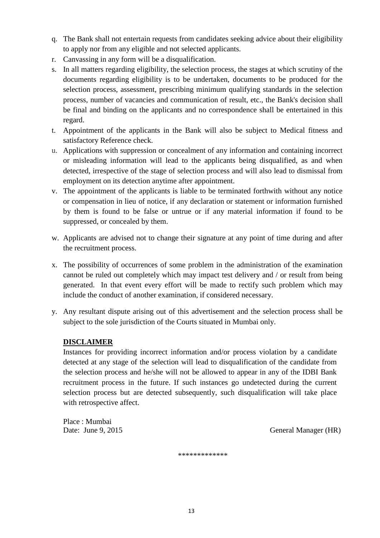- q. The Bank shall not entertain requests from candidates seeking advice about their eligibility to apply nor from any eligible and not selected applicants.
- r. Canvassing in any form will be a disqualification.
- s. In all matters regarding eligibility, the selection process, the stages at which scrutiny of the documents regarding eligibility is to be undertaken, documents to be produced for the selection process, assessment, prescribing minimum qualifying standards in the selection process, number of vacancies and communication of result, etc., the Bank's decision shall be final and binding on the applicants and no correspondence shall be entertained in this regard.
- t. Appointment of the applicants in the Bank will also be subject to Medical fitness and satisfactory Reference check.
- u. Applications with suppression or concealment of any information and containing incorrect or misleading information will lead to the applicants being disqualified, as and when detected, irrespective of the stage of selection process and will also lead to dismissal from employment on its detection anytime after appointment.
- v. The appointment of the applicants is liable to be terminated forthwith without any notice or compensation in lieu of notice, if any declaration or statement or information furnished by them is found to be false or untrue or if any material information if found to be suppressed, or concealed by them.
- w. Applicants are advised not to change their signature at any point of time during and after the recruitment process.
- x. The possibility of occurrences of some problem in the administration of the examination cannot be ruled out completely which may impact test delivery and / or result from being generated. In that event every effort will be made to rectify such problem which may include the conduct of another examination, if considered necessary.
- y. Any resultant dispute arising out of this advertisement and the selection process shall be subject to the sole jurisdiction of the Courts situated in Mumbai only.

# **DISCLAIMER**

Instances for providing incorrect information and/or process violation by a candidate detected at any stage of the selection will lead to disqualification of the candidate from the selection process and he/she will not be allowed to appear in any of the IDBI Bank recruitment process in the future. If such instances go undetected during the current selection process but are detected subsequently, such disqualification will take place with retrospective affect.

Place : Mumbai

Date: June 9, 2015 General Manager (HR)

\*\*\*\*\*\*\*\*\*\*\*\*\*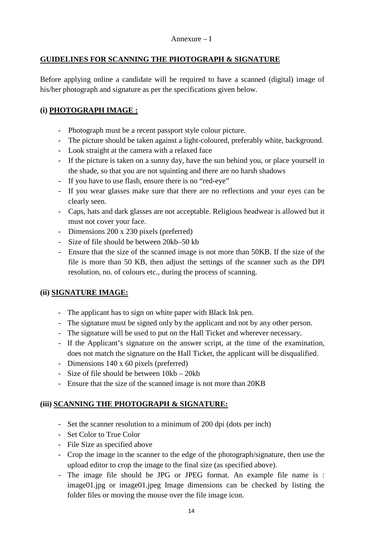## Annexure – I

## **GUIDELINES FOR SCANNING THE PHOTOGRAPH & SIGNATURE**

Before applying online a candidate will be required to have a scanned (digital) image of his/her photograph and signature as per the specifications given below.

## **(i) PHOTOGRAPH IMAGE :**

- Photograph must be a recent passport style colour picture.
- The picture should be taken against a light-coloured, preferably white, background.
- Look straight at the camera with a relaxed face
- If the picture is taken on a sunny day, have the sun behind you, or place yourself in the shade, so that you are not squinting and there are no harsh shadows
- If you have to use flash, ensure there is no "red-eye"
- If you wear glasses make sure that there are no reflections and your eyes can be clearly seen.
- Caps, hats and dark glasses are not acceptable. Religious headwear is allowed but it must not cover your face.
- Dimensions 200 x 230 pixels (preferred)
- Size of file should be between 20kb–50 kb
- Ensure that the size of the scanned image is not more than 50KB. If the size of the file is more than 50 KB, then adjust the settings of the scanner such as the DPI resolution, no. of colours etc., during the process of scanning.

## **(ii) SIGNATURE IMAGE:**

- The applicant has to sign on white paper with Black Ink pen.
- The signature must be signed only by the applicant and not by any other person.
- The signature will be used to put on the Hall Ticket and wherever necessary.
- If the Applicant's signature on the answer script, at the time of the examination, does not match the signature on the Hall Ticket, the applicant will be disqualified.
- Dimensions 140 x 60 pixels (preferred)
- Size of file should be between 10kb 20kb
- Ensure that the size of the scanned image is not more than 20KB

# **(iii) SCANNING THE PHOTOGRAPH & SIGNATURE:**

- Set the scanner resolution to a minimum of 200 dpi (dots per inch)
- Set Color to True Color
- File Size as specified above
- Crop the image in the scanner to the edge of the photograph/signature, then use the upload editor to crop the image to the final size (as specified above).
- The image file should be JPG or JPEG format. An example file name is : image01.jpg or image01.jpeg Image dimensions can be checked by listing the folder files or moving the mouse over the file image icon.